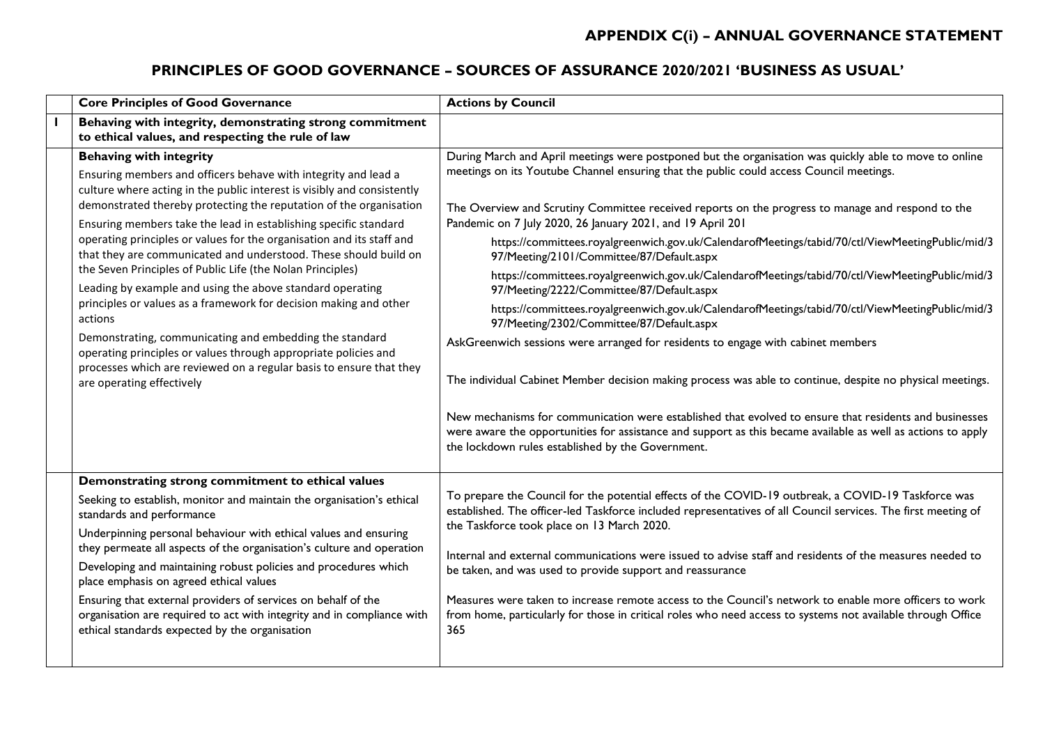#### **PRINCIPLES OF GOOD GOVERNANCE – SOURCES OF ASSURANCE 2020/2021 'BUSINESS AS USUAL'**

| <b>Core Principles of Good Governance</b>                                                                                                                                                                                                                                                                                                                                                                                                                                                                                                                                                                                                                                                                                                                                                                                                                                                                       | <b>Actions by Council</b>                                                                                                                                                                                                                                                                                                                                                                                                                                                                                                                                                                                                                                                                                                                                                                                                                                                                                                                                                                                                                                                                                                                                                                                                                                                                               |
|-----------------------------------------------------------------------------------------------------------------------------------------------------------------------------------------------------------------------------------------------------------------------------------------------------------------------------------------------------------------------------------------------------------------------------------------------------------------------------------------------------------------------------------------------------------------------------------------------------------------------------------------------------------------------------------------------------------------------------------------------------------------------------------------------------------------------------------------------------------------------------------------------------------------|---------------------------------------------------------------------------------------------------------------------------------------------------------------------------------------------------------------------------------------------------------------------------------------------------------------------------------------------------------------------------------------------------------------------------------------------------------------------------------------------------------------------------------------------------------------------------------------------------------------------------------------------------------------------------------------------------------------------------------------------------------------------------------------------------------------------------------------------------------------------------------------------------------------------------------------------------------------------------------------------------------------------------------------------------------------------------------------------------------------------------------------------------------------------------------------------------------------------------------------------------------------------------------------------------------|
| Behaving with integrity, demonstrating strong commitment<br>to ethical values, and respecting the rule of law                                                                                                                                                                                                                                                                                                                                                                                                                                                                                                                                                                                                                                                                                                                                                                                                   |                                                                                                                                                                                                                                                                                                                                                                                                                                                                                                                                                                                                                                                                                                                                                                                                                                                                                                                                                                                                                                                                                                                                                                                                                                                                                                         |
| <b>Behaving with integrity</b><br>Ensuring members and officers behave with integrity and lead a<br>culture where acting in the public interest is visibly and consistently<br>demonstrated thereby protecting the reputation of the organisation<br>Ensuring members take the lead in establishing specific standard<br>operating principles or values for the organisation and its staff and<br>that they are communicated and understood. These should build on<br>the Seven Principles of Public Life (the Nolan Principles)<br>Leading by example and using the above standard operating<br>principles or values as a framework for decision making and other<br>actions<br>Demonstrating, communicating and embedding the standard<br>operating principles or values through appropriate policies and<br>processes which are reviewed on a regular basis to ensure that they<br>are operating effectively | During March and April meetings were postponed but the organisation was quickly able to move to online<br>meetings on its Youtube Channel ensuring that the public could access Council meetings.<br>The Overview and Scrutiny Committee received reports on the progress to manage and respond to the<br>Pandemic on 7 July 2020, 26 January 2021, and 19 April 201<br>https://committees.royalgreenwich.gov.uk/CalendarofMeetings/tabid/70/ctl/ViewMeetingPublic/mid/3<br>97/Meeting/2101/Committee/87/Default.aspx<br>https://committees.royalgreenwich.gov.uk/CalendarofMeetings/tabid/70/ctl/ViewMeetingPublic/mid/3<br>97/Meeting/2222/Committee/87/Default.aspx<br>https://committees.royalgreenwich.gov.uk/CalendarofMeetings/tabid/70/ctl/ViewMeetingPublic/mid/3<br>97/Meeting/2302/Committee/87/Default.aspx<br>AskGreenwich sessions were arranged for residents to engage with cabinet members<br>The individual Cabinet Member decision making process was able to continue, despite no physical meetings.<br>New mechanisms for communication were established that evolved to ensure that residents and businesses<br>were aware the opportunities for assistance and support as this became available as well as actions to apply<br>the lockdown rules established by the Government. |
| Demonstrating strong commitment to ethical values<br>Seeking to establish, monitor and maintain the organisation's ethical<br>standards and performance<br>Underpinning personal behaviour with ethical values and ensuring<br>they permeate all aspects of the organisation's culture and operation<br>Developing and maintaining robust policies and procedures which<br>place emphasis on agreed ethical values<br>Ensuring that external providers of services on behalf of the<br>organisation are required to act with integrity and in compliance with<br>ethical standards expected by the organisation                                                                                                                                                                                                                                                                                                 | To prepare the Council for the potential effects of the COVID-19 outbreak, a COVID-19 Taskforce was<br>established. The officer-led Taskforce included representatives of all Council services. The first meeting of<br>the Taskforce took place on 13 March 2020.<br>Internal and external communications were issued to advise staff and residents of the measures needed to<br>be taken, and was used to provide support and reassurance<br>Measures were taken to increase remote access to the Council's network to enable more officers to work<br>from home, particularly for those in critical roles who need access to systems not available through Office<br>365                                                                                                                                                                                                                                                                                                                                                                                                                                                                                                                                                                                                                             |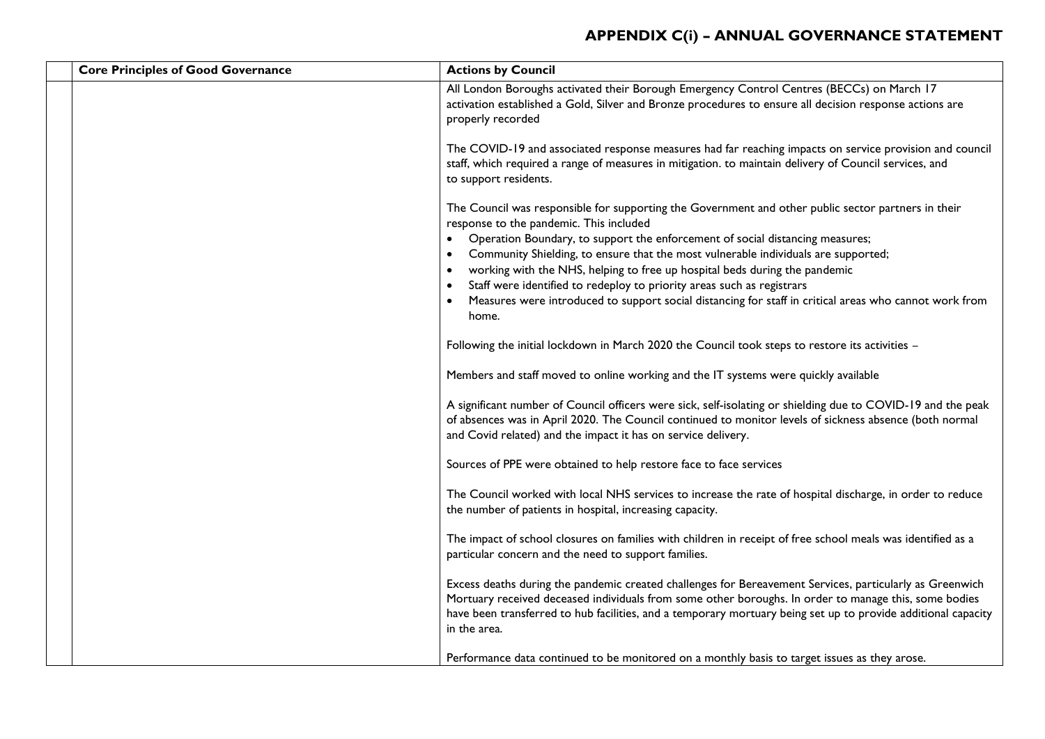| <b>Core Principles of Good Governance</b> | <b>Actions by Council</b>                                                                                                                                                                                                                                                                                                                          |
|-------------------------------------------|----------------------------------------------------------------------------------------------------------------------------------------------------------------------------------------------------------------------------------------------------------------------------------------------------------------------------------------------------|
|                                           | All London Boroughs activated their Borough Emergency Control Centres (BECCs) on March 17<br>activation established a Gold, Silver and Bronze procedures to ensure all decision response actions are<br>properly recorded                                                                                                                          |
|                                           | The COVID-19 and associated response measures had far reaching impacts on service provision and council<br>staff, which required a range of measures in mitigation. to maintain delivery of Council services, and<br>to support residents.                                                                                                         |
|                                           | The Council was responsible for supporting the Government and other public sector partners in their<br>response to the pandemic. This included                                                                                                                                                                                                     |
|                                           | Operation Boundary, to support the enforcement of social distancing measures;                                                                                                                                                                                                                                                                      |
|                                           | Community Shielding, to ensure that the most vulnerable individuals are supported;                                                                                                                                                                                                                                                                 |
|                                           | working with the NHS, helping to free up hospital beds during the pandemic                                                                                                                                                                                                                                                                         |
|                                           | Staff were identified to redeploy to priority areas such as registrars                                                                                                                                                                                                                                                                             |
|                                           | Measures were introduced to support social distancing for staff in critical areas who cannot work from<br>home.                                                                                                                                                                                                                                    |
|                                           | Following the initial lockdown in March 2020 the Council took steps to restore its activities -                                                                                                                                                                                                                                                    |
|                                           | Members and staff moved to online working and the IT systems were quickly available                                                                                                                                                                                                                                                                |
|                                           | A significant number of Council officers were sick, self-isolating or shielding due to COVID-19 and the peak<br>of absences was in April 2020. The Council continued to monitor levels of sickness absence (both normal<br>and Covid related) and the impact it has on service delivery.                                                           |
|                                           | Sources of PPE were obtained to help restore face to face services                                                                                                                                                                                                                                                                                 |
|                                           | The Council worked with local NHS services to increase the rate of hospital discharge, in order to reduce<br>the number of patients in hospital, increasing capacity.                                                                                                                                                                              |
|                                           | The impact of school closures on families with children in receipt of free school meals was identified as a<br>particular concern and the need to support families.                                                                                                                                                                                |
|                                           | Excess deaths during the pandemic created challenges for Bereavement Services, particularly as Greenwich<br>Mortuary received deceased individuals from some other boroughs. In order to manage this, some bodies<br>have been transferred to hub facilities, and a temporary mortuary being set up to provide additional capacity<br>in the area. |
|                                           | Performance data continued to be monitored on a monthly basis to target issues as they arose.                                                                                                                                                                                                                                                      |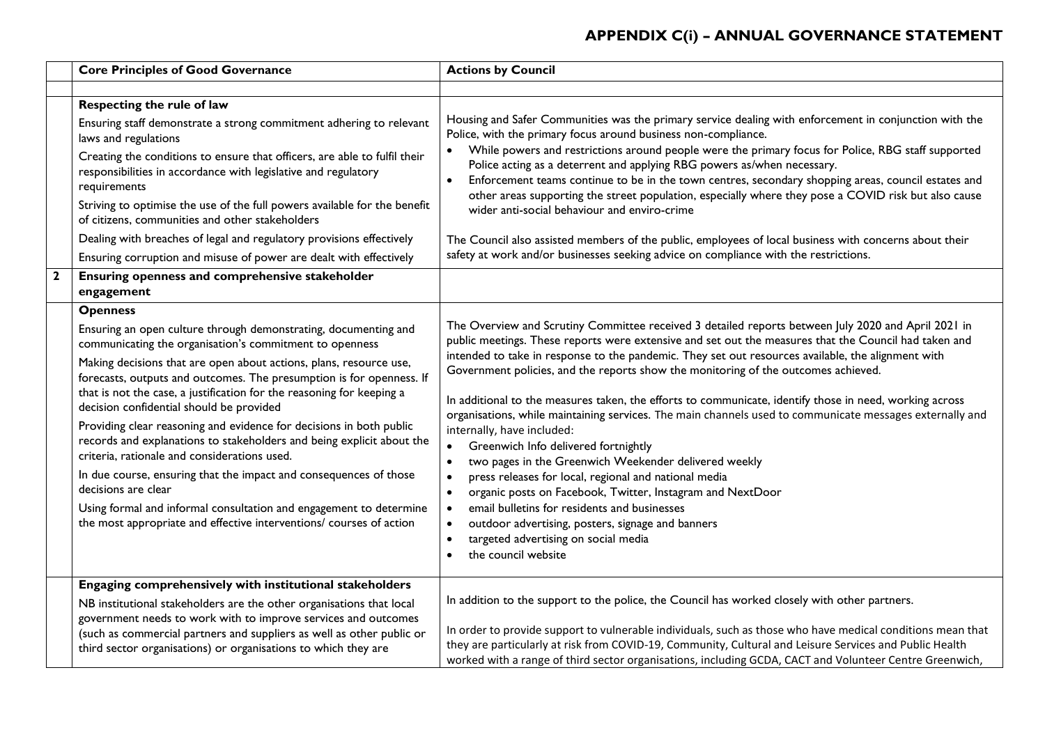| <b>Core Principles of Good Governance</b>                                                                                                                                                                                                                                                                                                                                                                                                                                                                                                                                                                                                                                                                                                                                                                                                                 | <b>Actions by Council</b>                                                                                                                                                                                                                                                                                                                                                                                                                                                                                                                                                                                                                                                                                                                                                                                                                                                                                                                                                                                                                                                                             |
|-----------------------------------------------------------------------------------------------------------------------------------------------------------------------------------------------------------------------------------------------------------------------------------------------------------------------------------------------------------------------------------------------------------------------------------------------------------------------------------------------------------------------------------------------------------------------------------------------------------------------------------------------------------------------------------------------------------------------------------------------------------------------------------------------------------------------------------------------------------|-------------------------------------------------------------------------------------------------------------------------------------------------------------------------------------------------------------------------------------------------------------------------------------------------------------------------------------------------------------------------------------------------------------------------------------------------------------------------------------------------------------------------------------------------------------------------------------------------------------------------------------------------------------------------------------------------------------------------------------------------------------------------------------------------------------------------------------------------------------------------------------------------------------------------------------------------------------------------------------------------------------------------------------------------------------------------------------------------------|
|                                                                                                                                                                                                                                                                                                                                                                                                                                                                                                                                                                                                                                                                                                                                                                                                                                                           |                                                                                                                                                                                                                                                                                                                                                                                                                                                                                                                                                                                                                                                                                                                                                                                                                                                                                                                                                                                                                                                                                                       |
| Respecting the rule of law<br>Ensuring staff demonstrate a strong commitment adhering to relevant<br>laws and regulations<br>Creating the conditions to ensure that officers, are able to fulfil their<br>responsibilities in accordance with legislative and regulatory<br>requirements                                                                                                                                                                                                                                                                                                                                                                                                                                                                                                                                                                  | Housing and Safer Communities was the primary service dealing with enforcement in conjunction with the<br>Police, with the primary focus around business non-compliance.<br>While powers and restrictions around people were the primary focus for Police, RBG staff supported<br>Police acting as a deterrent and applying RBG powers as/when necessary.<br>Enforcement teams continue to be in the town centres, secondary shopping areas, council estates and<br>other areas supporting the street population, especially where they pose a COVID risk but also cause                                                                                                                                                                                                                                                                                                                                                                                                                                                                                                                              |
| Striving to optimise the use of the full powers available for the benefit<br>of citizens, communities and other stakeholders<br>Dealing with breaches of legal and regulatory provisions effectively<br>Ensuring corruption and misuse of power are dealt with effectively                                                                                                                                                                                                                                                                                                                                                                                                                                                                                                                                                                                | wider anti-social behaviour and enviro-crime<br>The Council also assisted members of the public, employees of local business with concerns about their<br>safety at work and/or businesses seeking advice on compliance with the restrictions.                                                                                                                                                                                                                                                                                                                                                                                                                                                                                                                                                                                                                                                                                                                                                                                                                                                        |
| Ensuring openness and comprehensive stakeholder<br>engagement                                                                                                                                                                                                                                                                                                                                                                                                                                                                                                                                                                                                                                                                                                                                                                                             |                                                                                                                                                                                                                                                                                                                                                                                                                                                                                                                                                                                                                                                                                                                                                                                                                                                                                                                                                                                                                                                                                                       |
| <b>Openness</b><br>Ensuring an open culture through demonstrating, documenting and<br>communicating the organisation's commitment to openness<br>Making decisions that are open about actions, plans, resource use,<br>forecasts, outputs and outcomes. The presumption is for openness. If<br>that is not the case, a justification for the reasoning for keeping a<br>decision confidential should be provided<br>Providing clear reasoning and evidence for decisions in both public<br>records and explanations to stakeholders and being explicit about the<br>criteria, rationale and considerations used.<br>In due course, ensuring that the impact and consequences of those<br>decisions are clear<br>Using formal and informal consultation and engagement to determine<br>the most appropriate and effective interventions/ courses of action | The Overview and Scrutiny Committee received 3 detailed reports between July 2020 and April 2021 in<br>public meetings. These reports were extensive and set out the measures that the Council had taken and<br>intended to take in response to the pandemic. They set out resources available, the alignment with<br>Government policies, and the reports show the monitoring of the outcomes achieved.<br>In additional to the measures taken, the efforts to communicate, identify those in need, working across<br>organisations, while maintaining services. The main channels used to communicate messages externally and<br>internally, have included:<br>Greenwich Info delivered fortnightly<br>$\bullet$<br>two pages in the Greenwich Weekender delivered weekly<br>press releases for local, regional and national media<br>organic posts on Facebook, Twitter, Instagram and NextDoor<br>$\bullet$<br>email bulletins for residents and businesses<br>outdoor advertising, posters, signage and banners<br>targeted advertising on social media<br>٠<br>the council website<br>$\bullet$ |
| Engaging comprehensively with institutional stakeholders<br>NB institutional stakeholders are the other organisations that local<br>government needs to work with to improve services and outcomes<br>(such as commercial partners and suppliers as well as other public or<br>third sector organisations) or organisations to which they are                                                                                                                                                                                                                                                                                                                                                                                                                                                                                                             | In addition to the support to the police, the Council has worked closely with other partners.<br>In order to provide support to vulnerable individuals, such as those who have medical conditions mean that<br>they are particularly at risk from COVID-19, Community, Cultural and Leisure Services and Public Health<br>worked with a range of third sector organisations, including GCDA, CACT and Volunteer Centre Greenwich,                                                                                                                                                                                                                                                                                                                                                                                                                                                                                                                                                                                                                                                                     |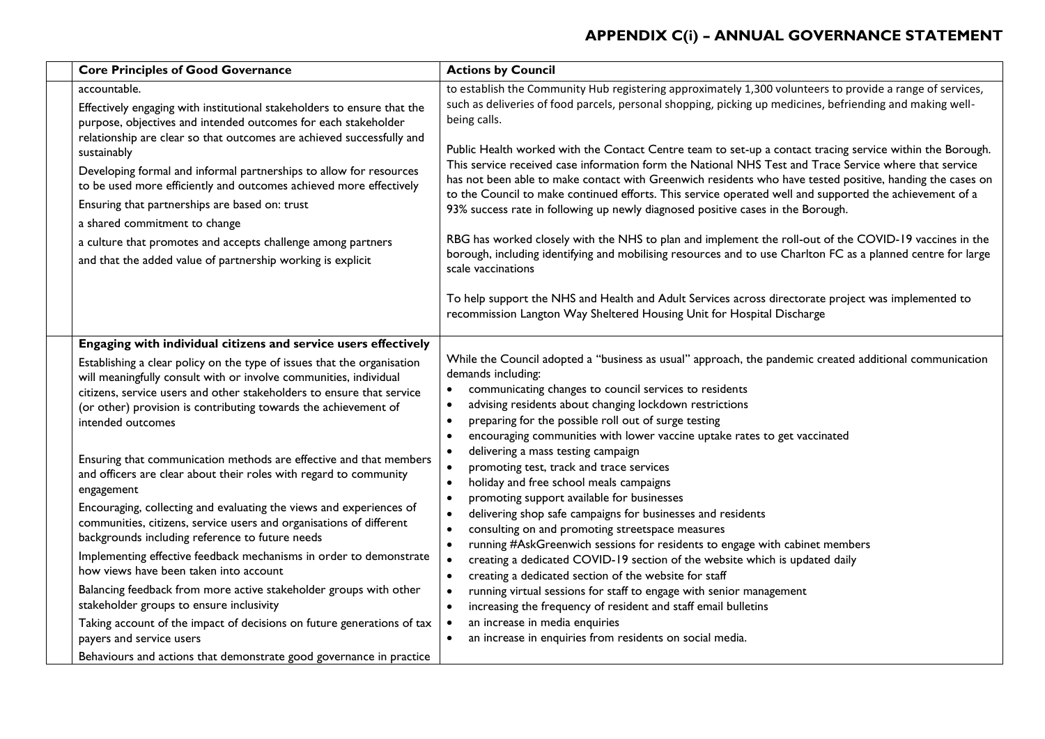| <b>Core Principles of Good Governance</b>                                                                                                                                                                                                                                                                                                                                                                                                          | <b>Actions by Council</b>                                                                                                                                                                                                                                                                                                                                                                                                                                                                                                                                                                                                                                                                                                                                                      |
|----------------------------------------------------------------------------------------------------------------------------------------------------------------------------------------------------------------------------------------------------------------------------------------------------------------------------------------------------------------------------------------------------------------------------------------------------|--------------------------------------------------------------------------------------------------------------------------------------------------------------------------------------------------------------------------------------------------------------------------------------------------------------------------------------------------------------------------------------------------------------------------------------------------------------------------------------------------------------------------------------------------------------------------------------------------------------------------------------------------------------------------------------------------------------------------------------------------------------------------------|
| accountable.<br>Effectively engaging with institutional stakeholders to ensure that the<br>purpose, objectives and intended outcomes for each stakeholder                                                                                                                                                                                                                                                                                          | to establish the Community Hub registering approximately 1,300 volunteers to provide a range of services,<br>such as deliveries of food parcels, personal shopping, picking up medicines, befriending and making well-<br>being calls.                                                                                                                                                                                                                                                                                                                                                                                                                                                                                                                                         |
| relationship are clear so that outcomes are achieved successfully and<br>sustainably<br>Developing formal and informal partnerships to allow for resources<br>to be used more efficiently and outcomes achieved more effectively<br>Ensuring that partnerships are based on: trust<br>a shared commitment to change<br>a culture that promotes and accepts challenge among partners<br>and that the added value of partnership working is explicit | Public Health worked with the Contact Centre team to set-up a contact tracing service within the Borough.<br>This service received case information form the National NHS Test and Trace Service where that service<br>has not been able to make contact with Greenwich residents who have tested positive, handing the cases on<br>to the Council to make continued efforts. This service operated well and supported the achievement of a<br>93% success rate in following up newly diagnosed positive cases in the Borough.<br>RBG has worked closely with the NHS to plan and implement the roll-out of the COVID-19 vaccines in the<br>borough, including identifying and mobilising resources and to use Charlton FC as a planned centre for large<br>scale vaccinations |
|                                                                                                                                                                                                                                                                                                                                                                                                                                                    | To help support the NHS and Health and Adult Services across directorate project was implemented to<br>recommission Langton Way Sheltered Housing Unit for Hospital Discharge                                                                                                                                                                                                                                                                                                                                                                                                                                                                                                                                                                                                  |
| Engaging with individual citizens and service users effectively<br>Establishing a clear policy on the type of issues that the organisation<br>will meaningfully consult with or involve communities, individual<br>citizens, service users and other stakeholders to ensure that service<br>(or other) provision is contributing towards the achievement of<br>intended outcomes                                                                   | While the Council adopted a "business as usual" approach, the pandemic created additional communication<br>demands including:<br>communicating changes to council services to residents<br>$\bullet$<br>advising residents about changing lockdown restrictions<br>$\bullet$<br>preparing for the possible roll out of surge testing<br>$\bullet$<br>encouraging communities with lower vaccine uptake rates to get vaccinated                                                                                                                                                                                                                                                                                                                                                 |
| Ensuring that communication methods are effective and that members<br>and officers are clear about their roles with regard to community<br>engagement<br>Encouraging, collecting and evaluating the views and experiences of<br>communities, citizens, service users and organisations of different<br>backgrounds including reference to future needs                                                                                             | delivering a mass testing campaign<br>promoting test, track and trace services<br>$\bullet$<br>holiday and free school meals campaigns<br>$\bullet$<br>promoting support available for businesses<br>delivering shop safe campaigns for businesses and residents<br>$\bullet$<br>consulting on and promoting streetspace measures<br>running #AskGreenwich sessions for residents to engage with cabinet members                                                                                                                                                                                                                                                                                                                                                               |
| Implementing effective feedback mechanisms in order to demonstrate<br>how views have been taken into account<br>Balancing feedback from more active stakeholder groups with other                                                                                                                                                                                                                                                                  | creating a dedicated COVID-19 section of the website which is updated daily<br>$\bullet$<br>creating a dedicated section of the website for staff<br>$\bullet$<br>running virtual sessions for staff to engage with senior management<br>$\bullet$                                                                                                                                                                                                                                                                                                                                                                                                                                                                                                                             |
| stakeholder groups to ensure inclusivity<br>Taking account of the impact of decisions on future generations of tax<br>payers and service users                                                                                                                                                                                                                                                                                                     | increasing the frequency of resident and staff email bulletins<br>$\bullet$<br>an increase in media enquiries<br>an increase in enquiries from residents on social media.                                                                                                                                                                                                                                                                                                                                                                                                                                                                                                                                                                                                      |
| Behaviours and actions that demonstrate good governance in practice                                                                                                                                                                                                                                                                                                                                                                                |                                                                                                                                                                                                                                                                                                                                                                                                                                                                                                                                                                                                                                                                                                                                                                                |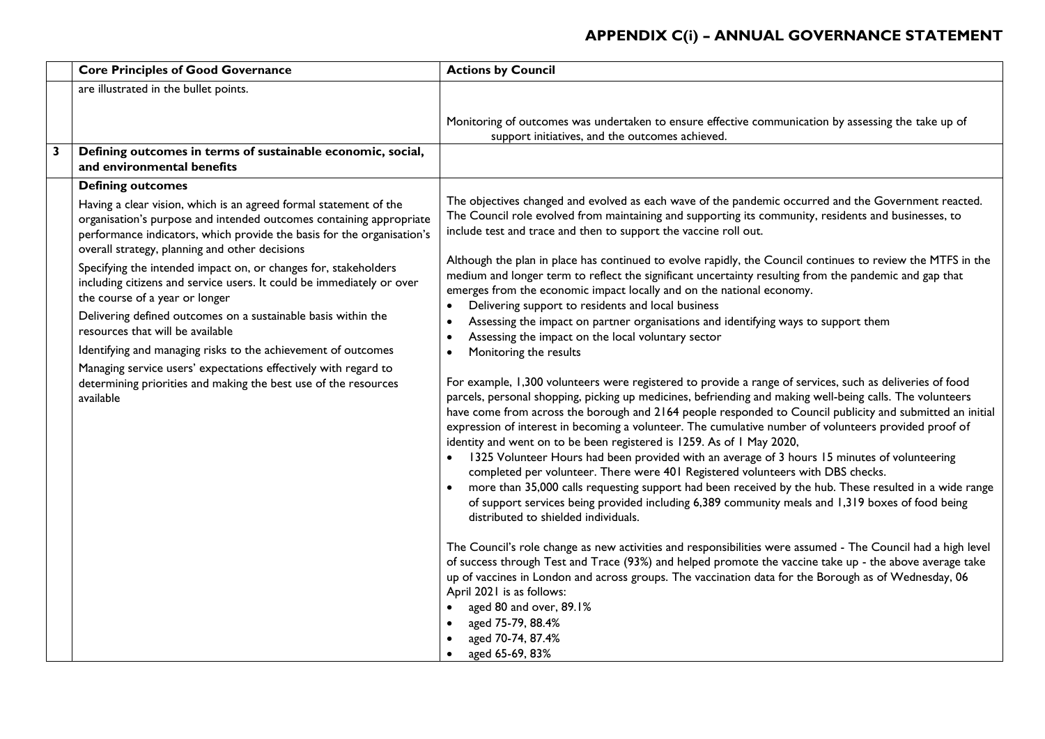|   | <b>Core Principles of Good Governance</b>                                                                                                                                                                                                                            | <b>Actions by Council</b>                                                                                                                                                                                                                                                                                                                                                                                                                                                                                                                                                                                                                                                                                                                                                                                                                                                                                                                                    |
|---|----------------------------------------------------------------------------------------------------------------------------------------------------------------------------------------------------------------------------------------------------------------------|--------------------------------------------------------------------------------------------------------------------------------------------------------------------------------------------------------------------------------------------------------------------------------------------------------------------------------------------------------------------------------------------------------------------------------------------------------------------------------------------------------------------------------------------------------------------------------------------------------------------------------------------------------------------------------------------------------------------------------------------------------------------------------------------------------------------------------------------------------------------------------------------------------------------------------------------------------------|
|   | are illustrated in the bullet points.                                                                                                                                                                                                                                |                                                                                                                                                                                                                                                                                                                                                                                                                                                                                                                                                                                                                                                                                                                                                                                                                                                                                                                                                              |
|   |                                                                                                                                                                                                                                                                      | Monitoring of outcomes was undertaken to ensure effective communication by assessing the take up of<br>support initiatives, and the outcomes achieved.                                                                                                                                                                                                                                                                                                                                                                                                                                                                                                                                                                                                                                                                                                                                                                                                       |
| 3 | Defining outcomes in terms of sustainable economic, social,<br>and environmental benefits                                                                                                                                                                            |                                                                                                                                                                                                                                                                                                                                                                                                                                                                                                                                                                                                                                                                                                                                                                                                                                                                                                                                                              |
|   | <b>Defining outcomes</b>                                                                                                                                                                                                                                             |                                                                                                                                                                                                                                                                                                                                                                                                                                                                                                                                                                                                                                                                                                                                                                                                                                                                                                                                                              |
|   | Having a clear vision, which is an agreed formal statement of the<br>organisation's purpose and intended outcomes containing appropriate<br>performance indicators, which provide the basis for the organisation's<br>overall strategy, planning and other decisions | The objectives changed and evolved as each wave of the pandemic occurred and the Government reacted.<br>The Council role evolved from maintaining and supporting its community, residents and businesses, to<br>include test and trace and then to support the vaccine roll out.                                                                                                                                                                                                                                                                                                                                                                                                                                                                                                                                                                                                                                                                             |
|   | Specifying the intended impact on, or changes for, stakeholders<br>including citizens and service users. It could be immediately or over<br>the course of a year or longer                                                                                           | Although the plan in place has continued to evolve rapidly, the Council continues to review the MTFS in the<br>medium and longer term to reflect the significant uncertainty resulting from the pandemic and gap that<br>emerges from the economic impact locally and on the national economy.                                                                                                                                                                                                                                                                                                                                                                                                                                                                                                                                                                                                                                                               |
|   | Delivering defined outcomes on a sustainable basis within the<br>resources that will be available                                                                                                                                                                    | Delivering support to residents and local business<br>$\bullet$<br>Assessing the impact on partner organisations and identifying ways to support them<br>Assessing the impact on the local voluntary sector<br>$\bullet$                                                                                                                                                                                                                                                                                                                                                                                                                                                                                                                                                                                                                                                                                                                                     |
|   | Identifying and managing risks to the achievement of outcomes                                                                                                                                                                                                        | Monitoring the results                                                                                                                                                                                                                                                                                                                                                                                                                                                                                                                                                                                                                                                                                                                                                                                                                                                                                                                                       |
|   | Managing service users' expectations effectively with regard to<br>determining priorities and making the best use of the resources<br>available                                                                                                                      | For example, 1,300 volunteers were registered to provide a range of services, such as deliveries of food<br>parcels, personal shopping, picking up medicines, befriending and making well-being calls. The volunteers<br>have come from across the borough and 2164 people responded to Council publicity and submitted an initial<br>expression of interest in becoming a volunteer. The cumulative number of volunteers provided proof of<br>identity and went on to be been registered is 1259. As of I May 2020,<br>1325 Volunteer Hours had been provided with an average of 3 hours 15 minutes of volunteering<br>completed per volunteer. There were 401 Registered volunteers with DBS checks.<br>more than 35,000 calls requesting support had been received by the hub. These resulted in a wide range<br>of support services being provided including 6,389 community meals and 1,319 boxes of food being<br>distributed to shielded individuals. |
|   |                                                                                                                                                                                                                                                                      | The Council's role change as new activities and responsibilities were assumed - The Council had a high level<br>of success through Test and Trace (93%) and helped promote the vaccine take up - the above average take<br>up of vaccines in London and across groups. The vaccination data for the Borough as of Wednesday, 06<br>April 2021 is as follows:<br>aged 80 and over, 89.1%<br>aged 75-79, 88.4%<br>aged 70-74, 87.4%<br>aged 65-69, 83%                                                                                                                                                                                                                                                                                                                                                                                                                                                                                                         |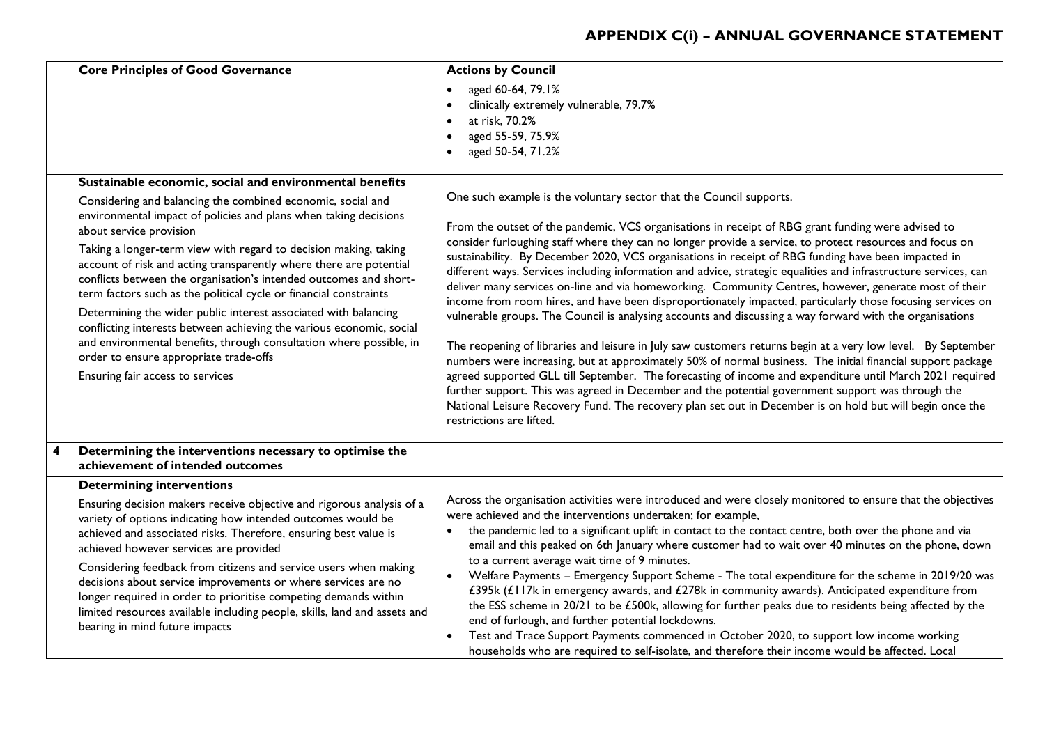|   | <b>Core Principles of Good Governance</b>                                                                                                                                                                                                                                                                                                                                                                                                                                                                                                                                                                                                                                                                                                                                                                 | <b>Actions by Council</b>                                                                                                                                                                                                                                                                                                                                                                                                                                                                                                                                                                                                                                                                                                                                                                                                                                                                                                                                                                                                                                                                                                                                                                                                                                                                                                                                                                                                                   |
|---|-----------------------------------------------------------------------------------------------------------------------------------------------------------------------------------------------------------------------------------------------------------------------------------------------------------------------------------------------------------------------------------------------------------------------------------------------------------------------------------------------------------------------------------------------------------------------------------------------------------------------------------------------------------------------------------------------------------------------------------------------------------------------------------------------------------|---------------------------------------------------------------------------------------------------------------------------------------------------------------------------------------------------------------------------------------------------------------------------------------------------------------------------------------------------------------------------------------------------------------------------------------------------------------------------------------------------------------------------------------------------------------------------------------------------------------------------------------------------------------------------------------------------------------------------------------------------------------------------------------------------------------------------------------------------------------------------------------------------------------------------------------------------------------------------------------------------------------------------------------------------------------------------------------------------------------------------------------------------------------------------------------------------------------------------------------------------------------------------------------------------------------------------------------------------------------------------------------------------------------------------------------------|
|   |                                                                                                                                                                                                                                                                                                                                                                                                                                                                                                                                                                                                                                                                                                                                                                                                           | aged 60-64, 79.1%<br>$\bullet$<br>clinically extremely vulnerable, 79.7%<br>at risk, 70.2%<br>aged 55-59, 75.9%<br>aged 50-54, 71.2%                                                                                                                                                                                                                                                                                                                                                                                                                                                                                                                                                                                                                                                                                                                                                                                                                                                                                                                                                                                                                                                                                                                                                                                                                                                                                                        |
|   | Sustainable economic, social and environmental benefits<br>Considering and balancing the combined economic, social and<br>environmental impact of policies and plans when taking decisions<br>about service provision<br>Taking a longer-term view with regard to decision making, taking<br>account of risk and acting transparently where there are potential<br>conflicts between the organisation's intended outcomes and short-<br>term factors such as the political cycle or financial constraints<br>Determining the wider public interest associated with balancing<br>conflicting interests between achieving the various economic, social<br>and environmental benefits, through consultation where possible, in<br>order to ensure appropriate trade-offs<br>Ensuring fair access to services | One such example is the voluntary sector that the Council supports.<br>From the outset of the pandemic, VCS organisations in receipt of RBG grant funding were advised to<br>consider furloughing staff where they can no longer provide a service, to protect resources and focus on<br>sustainability. By December 2020, VCS organisations in receipt of RBG funding have been impacted in<br>different ways. Services including information and advice, strategic equalities and infrastructure services, can<br>deliver many services on-line and via homeworking. Community Centres, however, generate most of their<br>income from room hires, and have been disproportionately impacted, particularly those focusing services on<br>vulnerable groups. The Council is analysing accounts and discussing a way forward with the organisations<br>The reopening of libraries and leisure in July saw customers returns begin at a very low level. By September<br>numbers were increasing, but at approximately 50% of normal business. The initial financial support package<br>agreed supported GLL till September. The forecasting of income and expenditure until March 2021 required<br>further support. This was agreed in December and the potential government support was through the<br>National Leisure Recovery Fund. The recovery plan set out in December is on hold but will begin once the<br>restrictions are lifted. |
| 4 | Determining the interventions necessary to optimise the<br>achievement of intended outcomes                                                                                                                                                                                                                                                                                                                                                                                                                                                                                                                                                                                                                                                                                                               |                                                                                                                                                                                                                                                                                                                                                                                                                                                                                                                                                                                                                                                                                                                                                                                                                                                                                                                                                                                                                                                                                                                                                                                                                                                                                                                                                                                                                                             |
|   | <b>Determining interventions</b><br>Ensuring decision makers receive objective and rigorous analysis of a<br>variety of options indicating how intended outcomes would be<br>achieved and associated risks. Therefore, ensuring best value is<br>achieved however services are provided<br>Considering feedback from citizens and service users when making<br>decisions about service improvements or where services are no<br>longer required in order to prioritise competing demands within<br>limited resources available including people, skills, land and assets and<br>bearing in mind future impacts                                                                                                                                                                                            | Across the organisation activities were introduced and were closely monitored to ensure that the objectives<br>were achieved and the interventions undertaken; for example,<br>the pandemic led to a significant uplift in contact to the contact centre, both over the phone and via<br>email and this peaked on 6th January where customer had to wait over 40 minutes on the phone, down<br>to a current average wait time of 9 minutes.<br>Welfare Payments - Emergency Support Scheme - The total expenditure for the scheme in 2019/20 was<br>$\bullet$<br>£395k (£117k in emergency awards, and £278k in community awards). Anticipated expenditure from<br>the ESS scheme in 20/21 to be £500k, allowing for further peaks due to residents being affected by the<br>end of furlough, and further potential lockdowns.<br>Test and Trace Support Payments commenced in October 2020, to support low income working<br>households who are required to self-isolate, and therefore their income would be affected. Local                                                                                                                                                                                                                                                                                                                                                                                                              |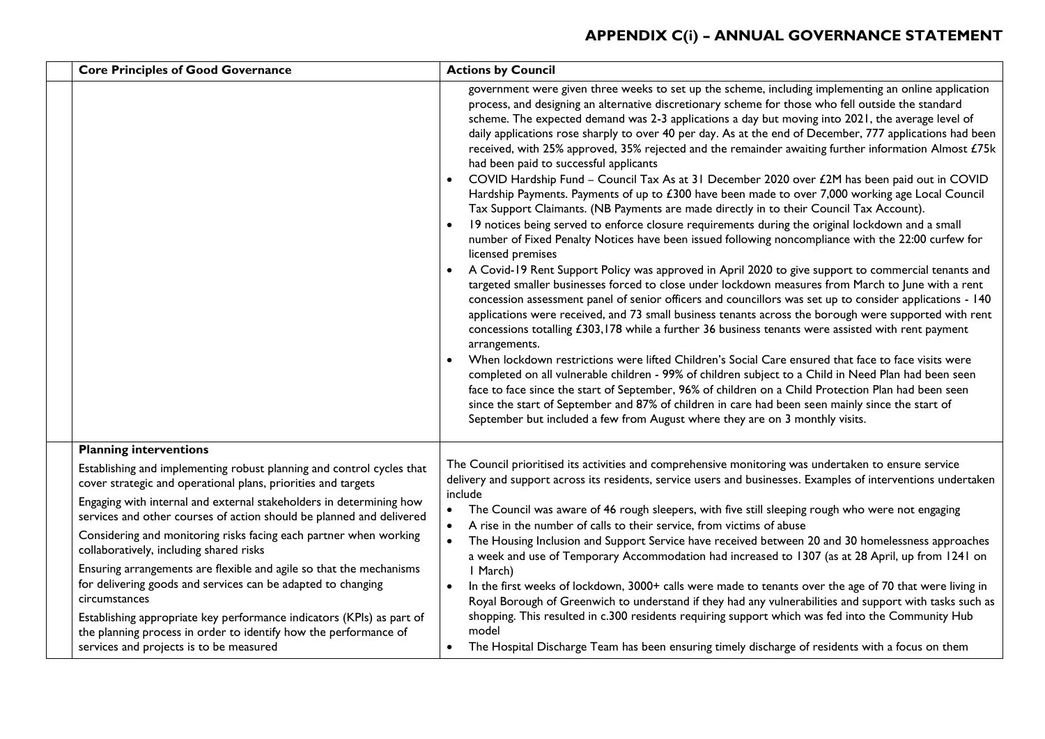| <b>Core Principles of Good Governance</b>                                                                                                                                                                                                                                                                                                                                                                                                                                                                     | <b>Actions by Council</b>                                                                                                                                                                                                                                                                                                                                                                                                                                                                                                                                                                                                                                                                                                                                                                                                                                                                                                                                                                                                                                                                                                                                                                                                                                                                                                                                                                                                                                                                                                                                                                                                                                                                                                                                                                                                                                                                                                                                                                                                                                                                                                                                                      |
|---------------------------------------------------------------------------------------------------------------------------------------------------------------------------------------------------------------------------------------------------------------------------------------------------------------------------------------------------------------------------------------------------------------------------------------------------------------------------------------------------------------|--------------------------------------------------------------------------------------------------------------------------------------------------------------------------------------------------------------------------------------------------------------------------------------------------------------------------------------------------------------------------------------------------------------------------------------------------------------------------------------------------------------------------------------------------------------------------------------------------------------------------------------------------------------------------------------------------------------------------------------------------------------------------------------------------------------------------------------------------------------------------------------------------------------------------------------------------------------------------------------------------------------------------------------------------------------------------------------------------------------------------------------------------------------------------------------------------------------------------------------------------------------------------------------------------------------------------------------------------------------------------------------------------------------------------------------------------------------------------------------------------------------------------------------------------------------------------------------------------------------------------------------------------------------------------------------------------------------------------------------------------------------------------------------------------------------------------------------------------------------------------------------------------------------------------------------------------------------------------------------------------------------------------------------------------------------------------------------------------------------------------------------------------------------------------------|
|                                                                                                                                                                                                                                                                                                                                                                                                                                                                                                               | government were given three weeks to set up the scheme, including implementing an online application<br>process, and designing an alternative discretionary scheme for those who fell outside the standard<br>scheme. The expected demand was 2-3 applications a day but moving into 2021, the average level of<br>daily applications rose sharply to over 40 per day. As at the end of December, 777 applications had been<br>received, with 25% approved, 35% rejected and the remainder awaiting further information Almost £75k<br>had been paid to successful applicants<br>COVID Hardship Fund - Council Tax As at 31 December 2020 over £2M has been paid out in COVID<br>Hardship Payments. Payments of up to £300 have been made to over 7,000 working age Local Council<br>Tax Support Claimants. (NB Payments are made directly in to their Council Tax Account).<br>19 notices being served to enforce closure requirements during the original lockdown and a small<br>number of Fixed Penalty Notices have been issued following noncompliance with the 22:00 curfew for<br>licensed premises<br>A Covid-19 Rent Support Policy was approved in April 2020 to give support to commercial tenants and<br>targeted smaller businesses forced to close under lockdown measures from March to June with a rent<br>concession assessment panel of senior officers and councillors was set up to consider applications - 140<br>applications were received, and 73 small business tenants across the borough were supported with rent<br>concessions totalling £303,178 while a further 36 business tenants were assisted with rent payment<br>arrangements.<br>When lockdown restrictions were lifted Children's Social Care ensured that face to face visits were<br>completed on all vulnerable children - 99% of children subject to a Child in Need Plan had been seen<br>face to face since the start of September, 96% of children on a Child Protection Plan had been seen<br>since the start of September and 87% of children in care had been seen mainly since the start of<br>September but included a few from August where they are on 3 monthly visits. |
| <b>Planning interventions</b><br>Establishing and implementing robust planning and control cycles that<br>cover strategic and operational plans, priorities and targets<br>Engaging with internal and external stakeholders in determining how<br>services and other courses of action should be planned and delivered<br>Considering and monitoring risks facing each partner when working<br>collaboratively, including shared risks<br>Ensuring arrangements are flexible and agile so that the mechanisms | The Council prioritised its activities and comprehensive monitoring was undertaken to ensure service<br>delivery and support across its residents, service users and businesses. Examples of interventions undertaken<br>include<br>The Council was aware of 46 rough sleepers, with five still sleeping rough who were not engaging<br>$\bullet$<br>A rise in the number of calls to their service, from victims of abuse<br>$\bullet$<br>The Housing Inclusion and Support Service have received between 20 and 30 homelessness approaches<br>$\bullet$<br>a week and use of Temporary Accommodation had increased to 1307 (as at 28 April, up from 1241 on<br>I March)                                                                                                                                                                                                                                                                                                                                                                                                                                                                                                                                                                                                                                                                                                                                                                                                                                                                                                                                                                                                                                                                                                                                                                                                                                                                                                                                                                                                                                                                                                      |
| for delivering goods and services can be adapted to changing<br>circumstances<br>Establishing appropriate key performance indicators (KPIs) as part of<br>the planning process in order to identify how the performance of<br>services and projects is to be measured                                                                                                                                                                                                                                         | In the first weeks of lockdown, 3000+ calls were made to tenants over the age of 70 that were living in<br>Royal Borough of Greenwich to understand if they had any vulnerabilities and support with tasks such as<br>shopping. This resulted in c.300 residents requiring support which was fed into the Community Hub<br>model<br>The Hospital Discharge Team has been ensuring timely discharge of residents with a focus on them<br>$\bullet$                                                                                                                                                                                                                                                                                                                                                                                                                                                                                                                                                                                                                                                                                                                                                                                                                                                                                                                                                                                                                                                                                                                                                                                                                                                                                                                                                                                                                                                                                                                                                                                                                                                                                                                              |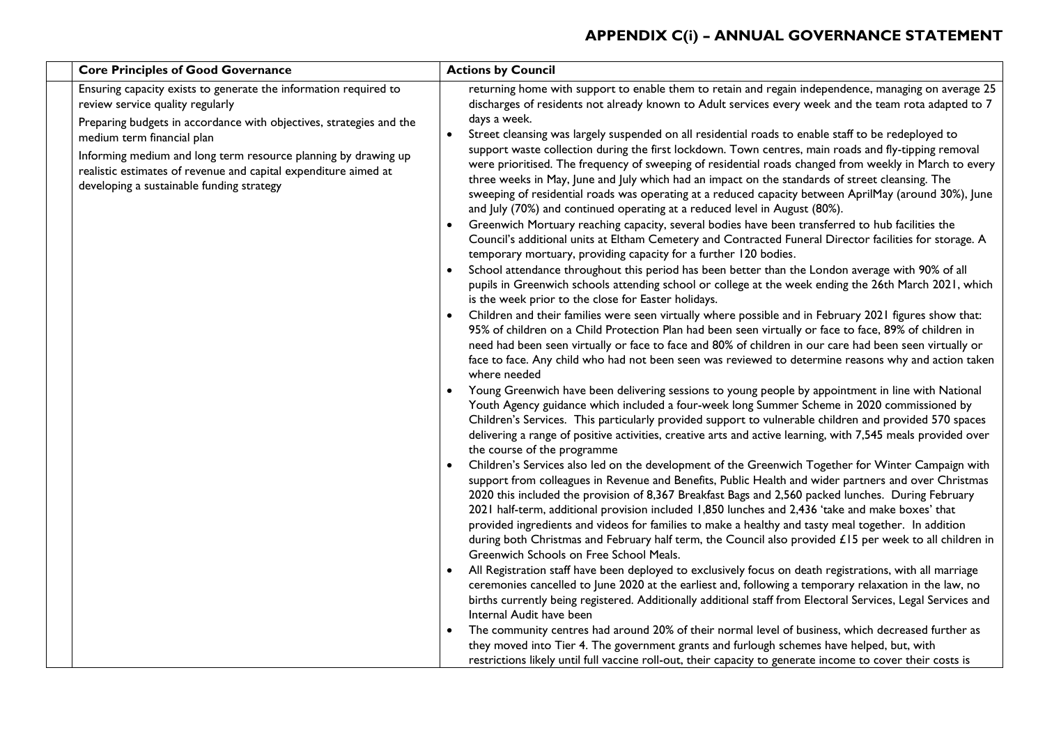| <b>Core Principles of Good Governance</b>                                                                                                                                                                                                                                                                                                                                                   | <b>Actions by Council</b>                                                                                                                                                                                                                                                                                                                                                                                                                                                                                                                                                                                                                                                                                                                                                                                                                                                                                                                                                                                                                                                                                                                                                                                                                                                                                                                                                                                                                                                                                                                                                                                                                                                                                                                                                                                                                                                                                                                                                                                                                                                                                                                                                                                                                                                                                                                                                                                                                                                                                                                                                                                                                                                                                                                                                                                                                                                                                                                                                                                                                                                                                                                                                                                                                                                                                                                                                                                                                                                                                                                                                                                                                                                                            |
|---------------------------------------------------------------------------------------------------------------------------------------------------------------------------------------------------------------------------------------------------------------------------------------------------------------------------------------------------------------------------------------------|------------------------------------------------------------------------------------------------------------------------------------------------------------------------------------------------------------------------------------------------------------------------------------------------------------------------------------------------------------------------------------------------------------------------------------------------------------------------------------------------------------------------------------------------------------------------------------------------------------------------------------------------------------------------------------------------------------------------------------------------------------------------------------------------------------------------------------------------------------------------------------------------------------------------------------------------------------------------------------------------------------------------------------------------------------------------------------------------------------------------------------------------------------------------------------------------------------------------------------------------------------------------------------------------------------------------------------------------------------------------------------------------------------------------------------------------------------------------------------------------------------------------------------------------------------------------------------------------------------------------------------------------------------------------------------------------------------------------------------------------------------------------------------------------------------------------------------------------------------------------------------------------------------------------------------------------------------------------------------------------------------------------------------------------------------------------------------------------------------------------------------------------------------------------------------------------------------------------------------------------------------------------------------------------------------------------------------------------------------------------------------------------------------------------------------------------------------------------------------------------------------------------------------------------------------------------------------------------------------------------------------------------------------------------------------------------------------------------------------------------------------------------------------------------------------------------------------------------------------------------------------------------------------------------------------------------------------------------------------------------------------------------------------------------------------------------------------------------------------------------------------------------------------------------------------------------------------------------------------------------------------------------------------------------------------------------------------------------------------------------------------------------------------------------------------------------------------------------------------------------------------------------------------------------------------------------------------------------------------------------------------------------------------------------------------------------------|
| Ensuring capacity exists to generate the information required to<br>review service quality regularly<br>Preparing budgets in accordance with objectives, strategies and the<br>medium term financial plan<br>Informing medium and long term resource planning by drawing up<br>realistic estimates of revenue and capital expenditure aimed at<br>developing a sustainable funding strategy | returning home with support to enable them to retain and regain independence, managing on average 25<br>discharges of residents not already known to Adult services every week and the team rota adapted to 7<br>days a week.<br>Street cleansing was largely suspended on all residential roads to enable staff to be redeployed to<br>support waste collection during the first lockdown. Town centres, main roads and fly-tipping removal<br>were prioritised. The frequency of sweeping of residential roads changed from weekly in March to every<br>three weeks in May, June and July which had an impact on the standards of street cleansing. The<br>sweeping of residential roads was operating at a reduced capacity between AprilMay (around 30%), June<br>and July (70%) and continued operating at a reduced level in August (80%).<br>Greenwich Mortuary reaching capacity, several bodies have been transferred to hub facilities the<br>Council's additional units at Eltham Cemetery and Contracted Funeral Director facilities for storage. A<br>temporary mortuary, providing capacity for a further 120 bodies.<br>School attendance throughout this period has been better than the London average with 90% of all<br>pupils in Greenwich schools attending school or college at the week ending the 26th March 2021, which<br>is the week prior to the close for Easter holidays.<br>Children and their families were seen virtually where possible and in February 2021 figures show that:<br>95% of children on a Child Protection Plan had been seen virtually or face to face, 89% of children in<br>need had been seen virtually or face to face and 80% of children in our care had been seen virtually or<br>face to face. Any child who had not been seen was reviewed to determine reasons why and action taken<br>where needed<br>Young Greenwich have been delivering sessions to young people by appointment in line with National<br>Youth Agency guidance which included a four-week long Summer Scheme in 2020 commissioned by<br>Children's Services. This particularly provided support to vulnerable children and provided 570 spaces<br>delivering a range of positive activities, creative arts and active learning, with 7,545 meals provided over<br>the course of the programme<br>Children's Services also led on the development of the Greenwich Together for Winter Campaign with<br>support from colleagues in Revenue and Benefits, Public Health and wider partners and over Christmas<br>2020 this included the provision of 8,367 Breakfast Bags and 2,560 packed lunches. During February<br>2021 half-term, additional provision included 1,850 lunches and 2,436 'take and make boxes' that<br>provided ingredients and videos for families to make a healthy and tasty meal together. In addition<br>during both Christmas and February half term, the Council also provided £15 per week to all children in<br>Greenwich Schools on Free School Meals.<br>All Registration staff have been deployed to exclusively focus on death registrations, with all marriage<br>ceremonies cancelled to June 2020 at the earliest and, following a temporary relaxation in the law, no<br>births currently being registered. Additionally additional staff from Electoral Services, Legal Services and<br>Internal Audit have been<br>The community centres had around 20% of their normal level of business, which decreased further as<br>they moved into Tier 4. The government grants and furlough schemes have helped, but, with<br>restrictions likely until full vaccine roll-out, their capacity to generate income to cover their costs is |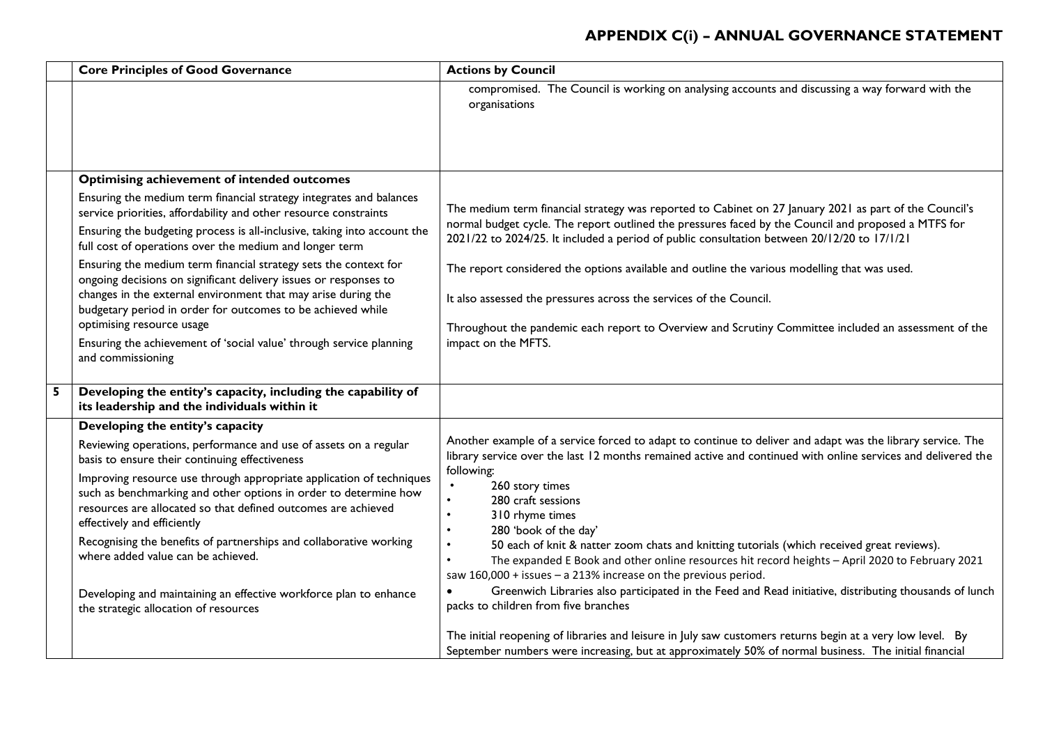|   | <b>Core Principles of Good Governance</b>                                                                                                                                                                                                                                                                                                                                                                                                                                                                                                                                                                                                                                       | <b>Actions by Council</b>                                                                                                                                                                                                                                                                                                                                                                                                                                                                                                                                                                                                                                                                                                                                                    |
|---|---------------------------------------------------------------------------------------------------------------------------------------------------------------------------------------------------------------------------------------------------------------------------------------------------------------------------------------------------------------------------------------------------------------------------------------------------------------------------------------------------------------------------------------------------------------------------------------------------------------------------------------------------------------------------------|------------------------------------------------------------------------------------------------------------------------------------------------------------------------------------------------------------------------------------------------------------------------------------------------------------------------------------------------------------------------------------------------------------------------------------------------------------------------------------------------------------------------------------------------------------------------------------------------------------------------------------------------------------------------------------------------------------------------------------------------------------------------------|
|   |                                                                                                                                                                                                                                                                                                                                                                                                                                                                                                                                                                                                                                                                                 | compromised. The Council is working on analysing accounts and discussing a way forward with the<br>organisations                                                                                                                                                                                                                                                                                                                                                                                                                                                                                                                                                                                                                                                             |
|   | <b>Optimising achievement of intended outcomes</b>                                                                                                                                                                                                                                                                                                                                                                                                                                                                                                                                                                                                                              |                                                                                                                                                                                                                                                                                                                                                                                                                                                                                                                                                                                                                                                                                                                                                                              |
|   | Ensuring the medium term financial strategy integrates and balances<br>service priorities, affordability and other resource constraints<br>Ensuring the budgeting process is all-inclusive, taking into account the<br>full cost of operations over the medium and longer term<br>Ensuring the medium term financial strategy sets the context for<br>ongoing decisions on significant delivery issues or responses to<br>changes in the external environment that may arise during the<br>budgetary period in order for outcomes to be achieved while<br>optimising resource usage<br>Ensuring the achievement of 'social value' through service planning<br>and commissioning | The medium term financial strategy was reported to Cabinet on 27 January 2021 as part of the Council's<br>normal budget cycle. The report outlined the pressures faced by the Council and proposed a MTFS for<br>2021/22 to 2024/25. It included a period of public consultation between 20/12/20 to 17/1/21<br>The report considered the options available and outline the various modelling that was used.<br>It also assessed the pressures across the services of the Council.<br>Throughout the pandemic each report to Overview and Scrutiny Committee included an assessment of the<br>impact on the MFTS.                                                                                                                                                            |
| 5 | Developing the entity's capacity, including the capability of<br>its leadership and the individuals within it                                                                                                                                                                                                                                                                                                                                                                                                                                                                                                                                                                   |                                                                                                                                                                                                                                                                                                                                                                                                                                                                                                                                                                                                                                                                                                                                                                              |
|   | Developing the entity's capacity<br>Reviewing operations, performance and use of assets on a regular<br>basis to ensure their continuing effectiveness<br>Improving resource use through appropriate application of techniques<br>such as benchmarking and other options in order to determine how<br>resources are allocated so that defined outcomes are achieved<br>effectively and efficiently<br>Recognising the benefits of partnerships and collaborative working<br>where added value can be achieved.<br>Developing and maintaining an effective workforce plan to enhance<br>the strategic allocation of resources                                                    | Another example of a service forced to adapt to continue to deliver and adapt was the library service. The<br>library service over the last 12 months remained active and continued with online services and delivered the<br>following:<br>260 story times<br>280 craft sessions<br>310 rhyme times<br>280 'book of the day'<br>50 each of knit & natter zoom chats and knitting tutorials (which received great reviews).<br>$\bullet$<br>The expanded E Book and other online resources hit record heights - April 2020 to February 2021<br>$\bullet$<br>saw 160,000 + issues - a 213% increase on the previous period.<br>Greenwich Libraries also participated in the Feed and Read initiative, distributing thousands of lunch<br>packs to children from five branches |
|   |                                                                                                                                                                                                                                                                                                                                                                                                                                                                                                                                                                                                                                                                                 | The initial reopening of libraries and leisure in July saw customers returns begin at a very low level. By<br>September numbers were increasing, but at approximately 50% of normal business. The initial financial                                                                                                                                                                                                                                                                                                                                                                                                                                                                                                                                                          |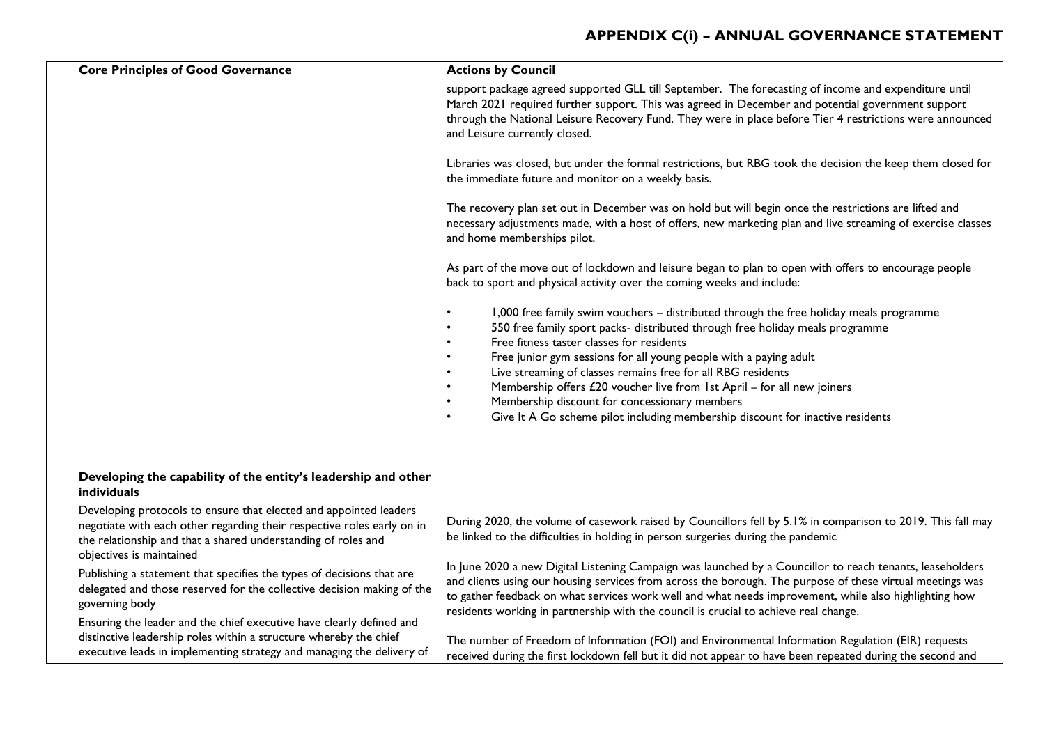| <b>Core Principles of Good Governance</b>                                                                                                                                                                                                | <b>Actions by Council</b>                                                                                                                                                                                                                                                                                                                                                                                                                                                                                                                                               |
|------------------------------------------------------------------------------------------------------------------------------------------------------------------------------------------------------------------------------------------|-------------------------------------------------------------------------------------------------------------------------------------------------------------------------------------------------------------------------------------------------------------------------------------------------------------------------------------------------------------------------------------------------------------------------------------------------------------------------------------------------------------------------------------------------------------------------|
|                                                                                                                                                                                                                                          | support package agreed supported GLL till September. The forecasting of income and expenditure until<br>March 2021 required further support. This was agreed in December and potential government support<br>through the National Leisure Recovery Fund. They were in place before Tier 4 restrictions were announced<br>and Leisure currently closed.                                                                                                                                                                                                                  |
|                                                                                                                                                                                                                                          | Libraries was closed, but under the formal restrictions, but RBG took the decision the keep them closed for<br>the immediate future and monitor on a weekly basis.                                                                                                                                                                                                                                                                                                                                                                                                      |
|                                                                                                                                                                                                                                          | The recovery plan set out in December was on hold but will begin once the restrictions are lifted and<br>necessary adjustments made, with a host of offers, new marketing plan and live streaming of exercise classes<br>and home memberships pilot.                                                                                                                                                                                                                                                                                                                    |
|                                                                                                                                                                                                                                          | As part of the move out of lockdown and leisure began to plan to open with offers to encourage people<br>back to sport and physical activity over the coming weeks and include:                                                                                                                                                                                                                                                                                                                                                                                         |
|                                                                                                                                                                                                                                          | 1,000 free family swim vouchers - distributed through the free holiday meals programme<br>550 free family sport packs- distributed through free holiday meals programme<br>Free fitness taster classes for residents<br>Free junior gym sessions for all young people with a paying adult<br>Live streaming of classes remains free for all RBG residents<br>Membership offers £20 voucher live from 1st April - for all new joiners<br>Membership discount for concessionary members<br>Give It A Go scheme pilot including membership discount for inactive residents |
| Developing the capability of the entity's leadership and other<br>individuals                                                                                                                                                            |                                                                                                                                                                                                                                                                                                                                                                                                                                                                                                                                                                         |
| Developing protocols to ensure that elected and appointed leaders<br>negotiate with each other regarding their respective roles early on in<br>the relationship and that a shared understanding of roles and<br>objectives is maintained | During 2020, the volume of casework raised by Councillors fell by 5.1% in comparison to 2019. This fall may<br>be linked to the difficulties in holding in person surgeries during the pandemic                                                                                                                                                                                                                                                                                                                                                                         |
| Publishing a statement that specifies the types of decisions that are<br>delegated and those reserved for the collective decision making of the<br>governing body                                                                        | In June 2020 a new Digital Listening Campaign was launched by a Councillor to reach tenants, leaseholders<br>and clients using our housing services from across the borough. The purpose of these virtual meetings was<br>to gather feedback on what services work well and what needs improvement, while also highlighting how<br>residents working in partnership with the council is crucial to achieve real change.                                                                                                                                                 |
| Ensuring the leader and the chief executive have clearly defined and<br>distinctive leadership roles within a structure whereby the chief<br>executive leads in implementing strategy and managing the delivery of                       | The number of Freedom of Information (FOI) and Environmental Information Regulation (EIR) requests<br>received during the first lockdown fell but it did not appear to have been repeated during the second and                                                                                                                                                                                                                                                                                                                                                         |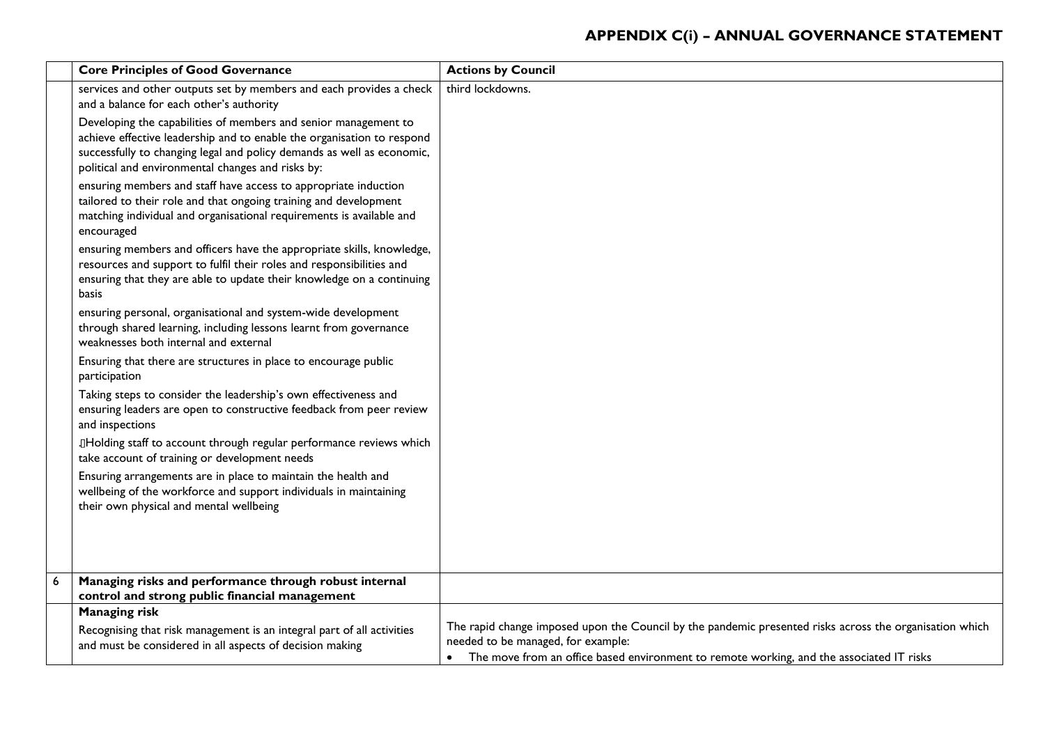| <b>Core Principles of Good Governance</b>                                                                                                                                                                                                                                | <b>Actions by Council</b>                                                                                                                                                                                                                 |
|--------------------------------------------------------------------------------------------------------------------------------------------------------------------------------------------------------------------------------------------------------------------------|-------------------------------------------------------------------------------------------------------------------------------------------------------------------------------------------------------------------------------------------|
| services and other outputs set by members and each provides a check<br>and a balance for each other's authority                                                                                                                                                          | third lockdowns.                                                                                                                                                                                                                          |
| Developing the capabilities of members and senior management to<br>achieve effective leadership and to enable the organisation to respond<br>successfully to changing legal and policy demands as well as economic,<br>political and environmental changes and risks by: |                                                                                                                                                                                                                                           |
| ensuring members and staff have access to appropriate induction<br>tailored to their role and that ongoing training and development<br>matching individual and organisational requirements is available and<br>encouraged                                                |                                                                                                                                                                                                                                           |
| ensuring members and officers have the appropriate skills, knowledge,<br>resources and support to fulfil their roles and responsibilities and<br>ensuring that they are able to update their knowledge on a continuing<br><b>basis</b>                                   |                                                                                                                                                                                                                                           |
| ensuring personal, organisational and system-wide development<br>through shared learning, including lessons learnt from governance<br>weaknesses both internal and external                                                                                              |                                                                                                                                                                                                                                           |
| Ensuring that there are structures in place to encourage public<br>participation                                                                                                                                                                                         |                                                                                                                                                                                                                                           |
| Taking steps to consider the leadership's own effectiveness and<br>ensuring leaders are open to constructive feedback from peer review<br>and inspections                                                                                                                |                                                                                                                                                                                                                                           |
| IHolding staff to account through regular performance reviews which<br>take account of training or development needs                                                                                                                                                     |                                                                                                                                                                                                                                           |
| Ensuring arrangements are in place to maintain the health and<br>wellbeing of the workforce and support individuals in maintaining<br>their own physical and mental wellbeing                                                                                            |                                                                                                                                                                                                                                           |
|                                                                                                                                                                                                                                                                          |                                                                                                                                                                                                                                           |
| Managing risks and performance through robust internal<br>control and strong public financial management                                                                                                                                                                 |                                                                                                                                                                                                                                           |
| <b>Managing risk</b>                                                                                                                                                                                                                                                     |                                                                                                                                                                                                                                           |
| Recognising that risk management is an integral part of all activities<br>and must be considered in all aspects of decision making                                                                                                                                       | The rapid change imposed upon the Council by the pandemic presented risks across the organisation which<br>needed to be managed, for example:<br>The move from an office based environment to remote working, and the associated IT risks |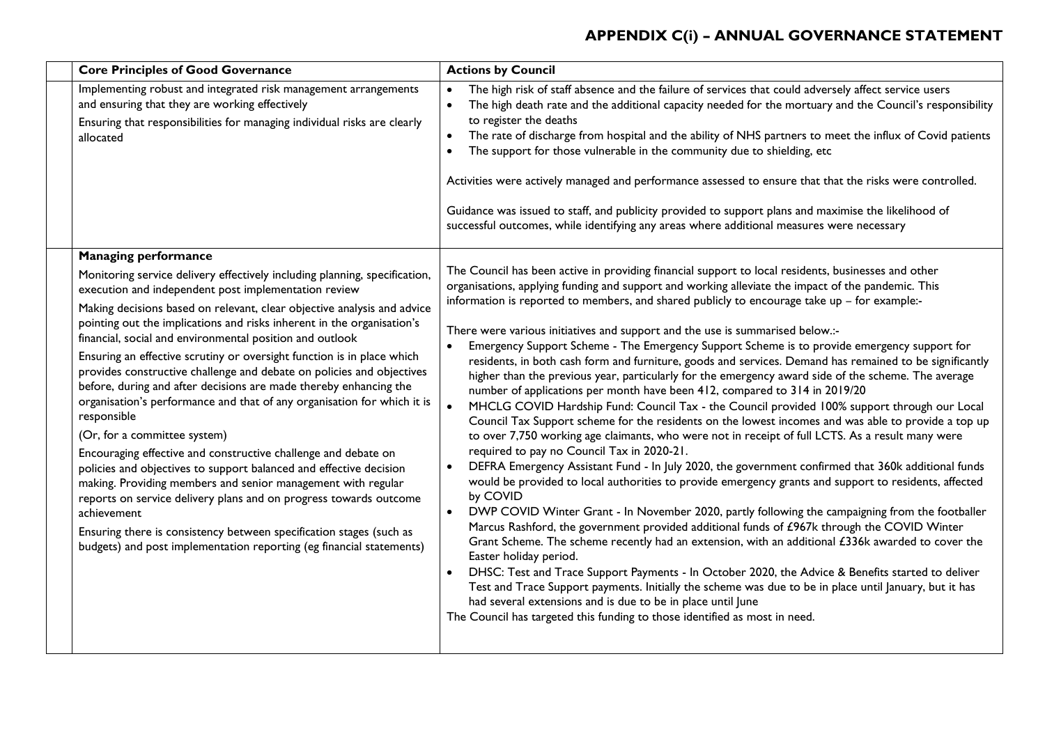| <b>Core Principles of Good Governance</b>                                                                                                                                                                                                                                                                                                                                                                                                                                                                                                                                                                                                                                                                                                                                                                                                                                                                                                                                                                                                                                                                                                                                       | <b>Actions by Council</b>                                                                                                                                                                                                                                                                                                                                                                                                                                                                                                                                                                                                                                                                                                                                                                                                                                                                                                                                                                                                                                                                                                                                                                                                                                                                                                                                                                                                                                                                                                                                                                                                                                                                                                                                                                                                                                                                                                                                                                                                                                                                                         |
|---------------------------------------------------------------------------------------------------------------------------------------------------------------------------------------------------------------------------------------------------------------------------------------------------------------------------------------------------------------------------------------------------------------------------------------------------------------------------------------------------------------------------------------------------------------------------------------------------------------------------------------------------------------------------------------------------------------------------------------------------------------------------------------------------------------------------------------------------------------------------------------------------------------------------------------------------------------------------------------------------------------------------------------------------------------------------------------------------------------------------------------------------------------------------------|-------------------------------------------------------------------------------------------------------------------------------------------------------------------------------------------------------------------------------------------------------------------------------------------------------------------------------------------------------------------------------------------------------------------------------------------------------------------------------------------------------------------------------------------------------------------------------------------------------------------------------------------------------------------------------------------------------------------------------------------------------------------------------------------------------------------------------------------------------------------------------------------------------------------------------------------------------------------------------------------------------------------------------------------------------------------------------------------------------------------------------------------------------------------------------------------------------------------------------------------------------------------------------------------------------------------------------------------------------------------------------------------------------------------------------------------------------------------------------------------------------------------------------------------------------------------------------------------------------------------------------------------------------------------------------------------------------------------------------------------------------------------------------------------------------------------------------------------------------------------------------------------------------------------------------------------------------------------------------------------------------------------------------------------------------------------------------------------------------------------|
| Implementing robust and integrated risk management arrangements<br>and ensuring that they are working effectively<br>Ensuring that responsibilities for managing individual risks are clearly<br>allocated                                                                                                                                                                                                                                                                                                                                                                                                                                                                                                                                                                                                                                                                                                                                                                                                                                                                                                                                                                      | The high risk of staff absence and the failure of services that could adversely affect service users<br>$\bullet$<br>The high death rate and the additional capacity needed for the mortuary and the Council's responsibility<br>$\bullet$<br>to register the deaths<br>The rate of discharge from hospital and the ability of NHS partners to meet the influx of Covid patients<br>The support for those vulnerable in the community due to shielding, etc<br>$\bullet$<br>Activities were actively managed and performance assessed to ensure that that the risks were controlled.<br>Guidance was issued to staff, and publicity provided to support plans and maximise the likelihood of<br>successful outcomes, while identifying any areas where additional measures were necessary                                                                                                                                                                                                                                                                                                                                                                                                                                                                                                                                                                                                                                                                                                                                                                                                                                                                                                                                                                                                                                                                                                                                                                                                                                                                                                                         |
| <b>Managing performance</b><br>Monitoring service delivery effectively including planning, specification,<br>execution and independent post implementation review<br>Making decisions based on relevant, clear objective analysis and advice<br>pointing out the implications and risks inherent in the organisation's<br>financial, social and environmental position and outlook<br>Ensuring an effective scrutiny or oversight function is in place which<br>provides constructive challenge and debate on policies and objectives<br>before, during and after decisions are made thereby enhancing the<br>organisation's performance and that of any organisation for which it is<br>responsible<br>(Or, for a committee system)<br>Encouraging effective and constructive challenge and debate on<br>policies and objectives to support balanced and effective decision<br>making. Providing members and senior management with regular<br>reports on service delivery plans and on progress towards outcome<br>achievement<br>Ensuring there is consistency between specification stages (such as<br>budgets) and post implementation reporting (eg financial statements) | The Council has been active in providing financial support to local residents, businesses and other<br>organisations, applying funding and support and working alleviate the impact of the pandemic. This<br>information is reported to members, and shared publicly to encourage take up - for example:-<br>There were various initiatives and support and the use is summarised below.:-<br>Emergency Support Scheme - The Emergency Support Scheme is to provide emergency support for<br>$\bullet$<br>residents, in both cash form and furniture, goods and services. Demand has remained to be significantly<br>higher than the previous year, particularly for the emergency award side of the scheme. The average<br>number of applications per month have been 412, compared to 314 in 2019/20<br>MHCLG COVID Hardship Fund: Council Tax - the Council provided 100% support through our Local<br>Council Tax Support scheme for the residents on the lowest incomes and was able to provide a top up<br>to over 7,750 working age claimants, who were not in receipt of full LCTS. As a result many were<br>required to pay no Council Tax in 2020-21.<br>DEFRA Emergency Assistant Fund - In July 2020, the government confirmed that 360k additional funds<br>$\bullet$<br>would be provided to local authorities to provide emergency grants and support to residents, affected<br>by COVID<br>DWP COVID Winter Grant - In November 2020, partly following the campaigning from the footballer<br>$\bullet$<br>Marcus Rashford, the government provided additional funds of £967k through the COVID Winter<br>Grant Scheme. The scheme recently had an extension, with an additional £336k awarded to cover the<br>Easter holiday period.<br>DHSC: Test and Trace Support Payments - In October 2020, the Advice & Benefits started to deliver<br>Test and Trace Support payments. Initially the scheme was due to be in place until January, but it has<br>had several extensions and is due to be in place until June<br>The Council has targeted this funding to those identified as most in need. |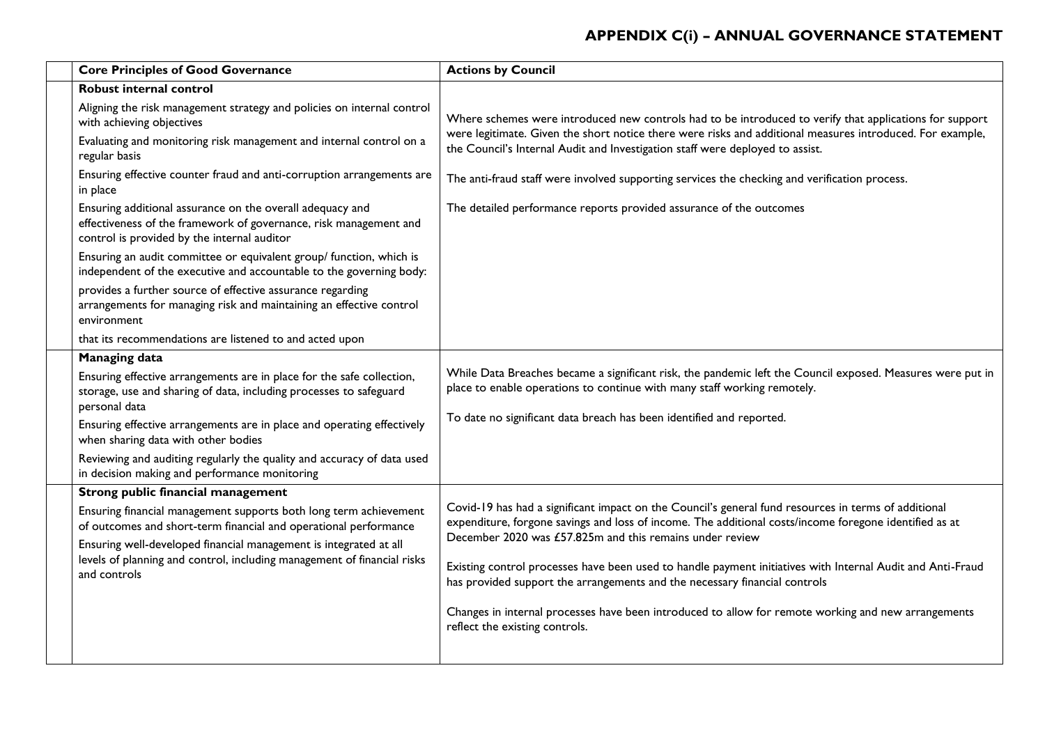| <b>Core Principles of Good Governance</b>                                                                                                                                     | <b>Actions by Council</b>                                                                                                                                                                                                                                                  |
|-------------------------------------------------------------------------------------------------------------------------------------------------------------------------------|----------------------------------------------------------------------------------------------------------------------------------------------------------------------------------------------------------------------------------------------------------------------------|
| <b>Robust internal control</b>                                                                                                                                                |                                                                                                                                                                                                                                                                            |
| Aligning the risk management strategy and policies on internal control<br>with achieving objectives<br>Evaluating and monitoring risk management and internal control on a    | Where schemes were introduced new controls had to be introduced to verify that applications for support<br>were legitimate. Given the short notice there were risks and additional measures introduced. For example,                                                       |
| regular basis                                                                                                                                                                 | the Council's Internal Audit and Investigation staff were deployed to assist.                                                                                                                                                                                              |
| Ensuring effective counter fraud and anti-corruption arrangements are<br>in place                                                                                             | The anti-fraud staff were involved supporting services the checking and verification process.                                                                                                                                                                              |
| Ensuring additional assurance on the overall adequacy and<br>effectiveness of the framework of governance, risk management and<br>control is provided by the internal auditor | The detailed performance reports provided assurance of the outcomes                                                                                                                                                                                                        |
| Ensuring an audit committee or equivalent group/ function, which is<br>independent of the executive and accountable to the governing body:                                    |                                                                                                                                                                                                                                                                            |
| provides a further source of effective assurance regarding<br>arrangements for managing risk and maintaining an effective control<br>environment                              |                                                                                                                                                                                                                                                                            |
| that its recommendations are listened to and acted upon                                                                                                                       |                                                                                                                                                                                                                                                                            |
| <b>Managing data</b>                                                                                                                                                          |                                                                                                                                                                                                                                                                            |
| Ensuring effective arrangements are in place for the safe collection,<br>storage, use and sharing of data, including processes to safeguard<br>personal data                  | While Data Breaches became a significant risk, the pandemic left the Council exposed. Measures were put in<br>place to enable operations to continue with many staff working remotely.                                                                                     |
| Ensuring effective arrangements are in place and operating effectively<br>when sharing data with other bodies                                                                 | To date no significant data breach has been identified and reported.                                                                                                                                                                                                       |
| Reviewing and auditing regularly the quality and accuracy of data used<br>in decision making and performance monitoring                                                       |                                                                                                                                                                                                                                                                            |
| Strong public financial management                                                                                                                                            | Covid-19 has had a significant impact on the Council's general fund resources in terms of additional<br>expenditure, forgone savings and loss of income. The additional costs/income foregone identified as at<br>December 2020 was £57.825m and this remains under review |
| Ensuring financial management supports both long term achievement<br>of outcomes and short-term financial and operational performance                                         |                                                                                                                                                                                                                                                                            |
| Ensuring well-developed financial management is integrated at all                                                                                                             |                                                                                                                                                                                                                                                                            |
| levels of planning and control, including management of financial risks<br>and controls                                                                                       | Existing control processes have been used to handle payment initiatives with Internal Audit and Anti-Fraud<br>has provided support the arrangements and the necessary financial controls                                                                                   |
|                                                                                                                                                                               | Changes in internal processes have been introduced to allow for remote working and new arrangements<br>reflect the existing controls.                                                                                                                                      |
|                                                                                                                                                                               |                                                                                                                                                                                                                                                                            |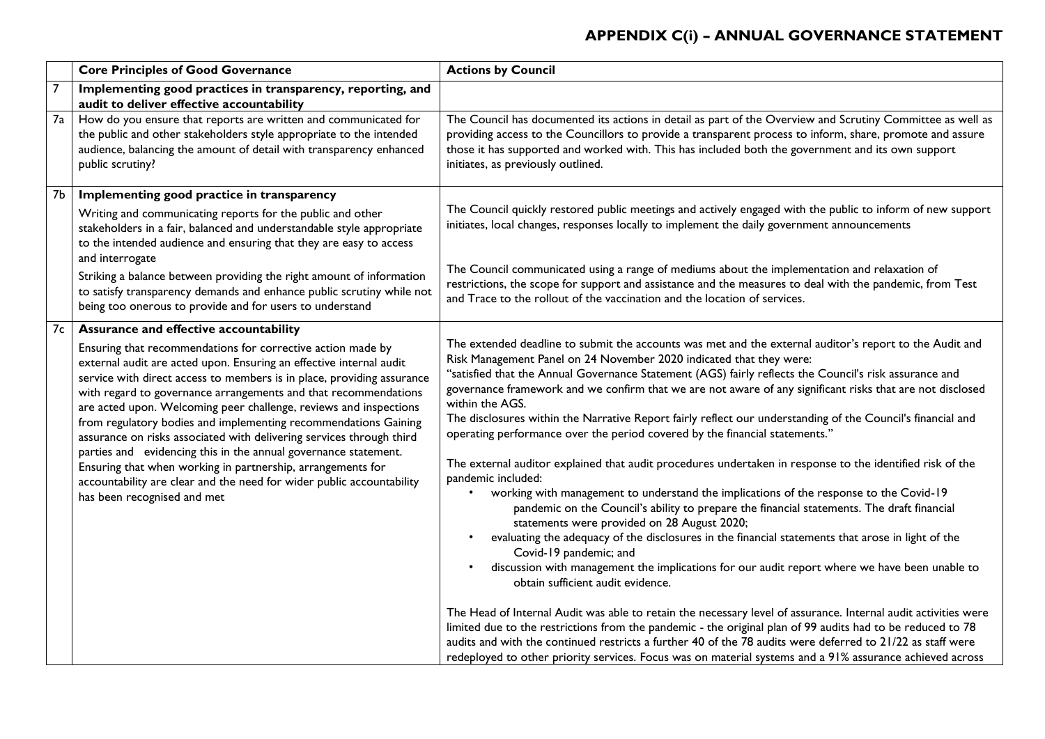| <b>Core Principles of Good Governance</b> |                                                                                                                                                                                                                                                                                                                                                                                                                                                                                                                                                                                                                                                                                                                                                                                     | <b>Actions by Council</b>                                                                                                                                                                                                                                                                                                                                                                                                                                                                                                                                                                                                                                                                                                                                                                                                                                                                                                                                                                                                                                                                                                                                                                                                                                                                                                                                                                                                                                                                                                                                                                                                                                                                                                                    |
|-------------------------------------------|-------------------------------------------------------------------------------------------------------------------------------------------------------------------------------------------------------------------------------------------------------------------------------------------------------------------------------------------------------------------------------------------------------------------------------------------------------------------------------------------------------------------------------------------------------------------------------------------------------------------------------------------------------------------------------------------------------------------------------------------------------------------------------------|----------------------------------------------------------------------------------------------------------------------------------------------------------------------------------------------------------------------------------------------------------------------------------------------------------------------------------------------------------------------------------------------------------------------------------------------------------------------------------------------------------------------------------------------------------------------------------------------------------------------------------------------------------------------------------------------------------------------------------------------------------------------------------------------------------------------------------------------------------------------------------------------------------------------------------------------------------------------------------------------------------------------------------------------------------------------------------------------------------------------------------------------------------------------------------------------------------------------------------------------------------------------------------------------------------------------------------------------------------------------------------------------------------------------------------------------------------------------------------------------------------------------------------------------------------------------------------------------------------------------------------------------------------------------------------------------------------------------------------------------|
| $\overline{7}$                            | Implementing good practices in transparency, reporting, and<br>audit to deliver effective accountability                                                                                                                                                                                                                                                                                                                                                                                                                                                                                                                                                                                                                                                                            |                                                                                                                                                                                                                                                                                                                                                                                                                                                                                                                                                                                                                                                                                                                                                                                                                                                                                                                                                                                                                                                                                                                                                                                                                                                                                                                                                                                                                                                                                                                                                                                                                                                                                                                                              |
| 7a                                        | How do you ensure that reports are written and communicated for<br>the public and other stakeholders style appropriate to the intended<br>audience, balancing the amount of detail with transparency enhanced<br>public scrutiny?                                                                                                                                                                                                                                                                                                                                                                                                                                                                                                                                                   | The Council has documented its actions in detail as part of the Overview and Scrutiny Committee as well as<br>providing access to the Councillors to provide a transparent process to inform, share, promote and assure<br>those it has supported and worked with. This has included both the government and its own support<br>initiates, as previously outlined.                                                                                                                                                                                                                                                                                                                                                                                                                                                                                                                                                                                                                                                                                                                                                                                                                                                                                                                                                                                                                                                                                                                                                                                                                                                                                                                                                                           |
| 7b                                        | Implementing good practice in transparency<br>Writing and communicating reports for the public and other<br>stakeholders in a fair, balanced and understandable style appropriate<br>to the intended audience and ensuring that they are easy to access<br>and interrogate<br>Striking a balance between providing the right amount of information<br>to satisfy transparency demands and enhance public scrutiny while not<br>being too onerous to provide and for users to understand                                                                                                                                                                                                                                                                                             | The Council quickly restored public meetings and actively engaged with the public to inform of new support<br>initiates, local changes, responses locally to implement the daily government announcements<br>The Council communicated using a range of mediums about the implementation and relaxation of<br>restrictions, the scope for support and assistance and the measures to deal with the pandemic, from Test<br>and Trace to the rollout of the vaccination and the location of services.                                                                                                                                                                                                                                                                                                                                                                                                                                                                                                                                                                                                                                                                                                                                                                                                                                                                                                                                                                                                                                                                                                                                                                                                                                           |
| 7c                                        | Assurance and effective accountability<br>Ensuring that recommendations for corrective action made by<br>external audit are acted upon. Ensuring an effective internal audit<br>service with direct access to members is in place, providing assurance<br>with regard to governance arrangements and that recommendations<br>are acted upon. Welcoming peer challenge, reviews and inspections<br>from regulatory bodies and implementing recommendations Gaining<br>assurance on risks associated with delivering services through third<br>parties and evidencing this in the annual governance statement.<br>Ensuring that when working in partnership, arrangements for<br>accountability are clear and the need for wider public accountability<br>has been recognised and met | The extended deadline to submit the accounts was met and the external auditor's report to the Audit and<br>Risk Management Panel on 24 November 2020 indicated that they were:<br>"satisfied that the Annual Governance Statement (AGS) fairly reflects the Council's risk assurance and<br>governance framework and we confirm that we are not aware of any significant risks that are not disclosed<br>within the AGS.<br>The disclosures within the Narrative Report fairly reflect our understanding of the Council's financial and<br>operating performance over the period covered by the financial statements."<br>The external auditor explained that audit procedures undertaken in response to the identified risk of the<br>pandemic included:<br>working with management to understand the implications of the response to the Covid-19<br>pandemic on the Council's ability to prepare the financial statements. The draft financial<br>statements were provided on 28 August 2020;<br>evaluating the adequacy of the disclosures in the financial statements that arose in light of the<br>Covid-19 pandemic; and<br>discussion with management the implications for our audit report where we have been unable to<br>$\bullet$<br>obtain sufficient audit evidence.<br>The Head of Internal Audit was able to retain the necessary level of assurance. Internal audit activities were<br>limited due to the restrictions from the pandemic - the original plan of 99 audits had to be reduced to 78<br>audits and with the continued restricts a further 40 of the 78 audits were deferred to 21/22 as staff were<br>redeployed to other priority services. Focus was on material systems and a 91% assurance achieved across |